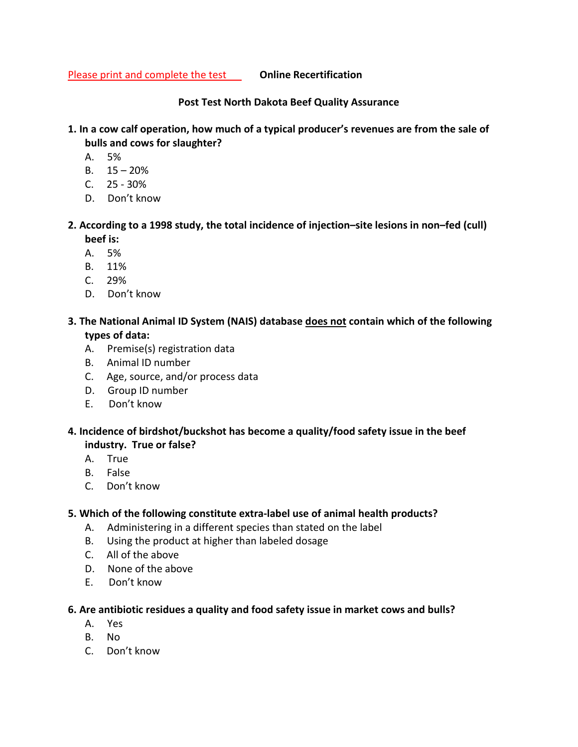Please print and complete the test **Online Recertification** 

**Post Test North Dakota Beef Quality Assurance**

- **1. In a cow calf operation, how much of a typical producer's revenues are from the sale of bulls and cows for slaughter?** 
	- A. 5%
	- B.  $15 20%$
	- $C. 25 30%$
	- D. Don't know
- **2. According to a 1998 study, the total incidence of injection–site lesions in non–fed (cull) beef is:** 
	- A. 5%
	- B. 11%
	- C. 29%
	- D. Don't know
- **3. The National Animal ID System (NAIS) database does not contain which of the following types of data:** 
	- A. Premise(s) registration data
	- B. Animal ID number
	- C. Age, source, and/or process data
	- D. Group ID number
	- E. Don't know
- **4. Incidence of birdshot/buckshot has become a quality/food safety issue in the beef industry. True or false?** 
	- A. True
	- B. False
	- C. Don't know

# **5. Which of the following constitute extra-label use of animal health products?**

- A. Administering in a different species than stated on the label
- B. Using the product at higher than labeled dosage
- C. All of the above
- D. None of the above
- E. Don't know

# **6. Are antibiotic residues a quality and food safety issue in market cows and bulls?**

- A. Yes
- B. No
- C. Don't know